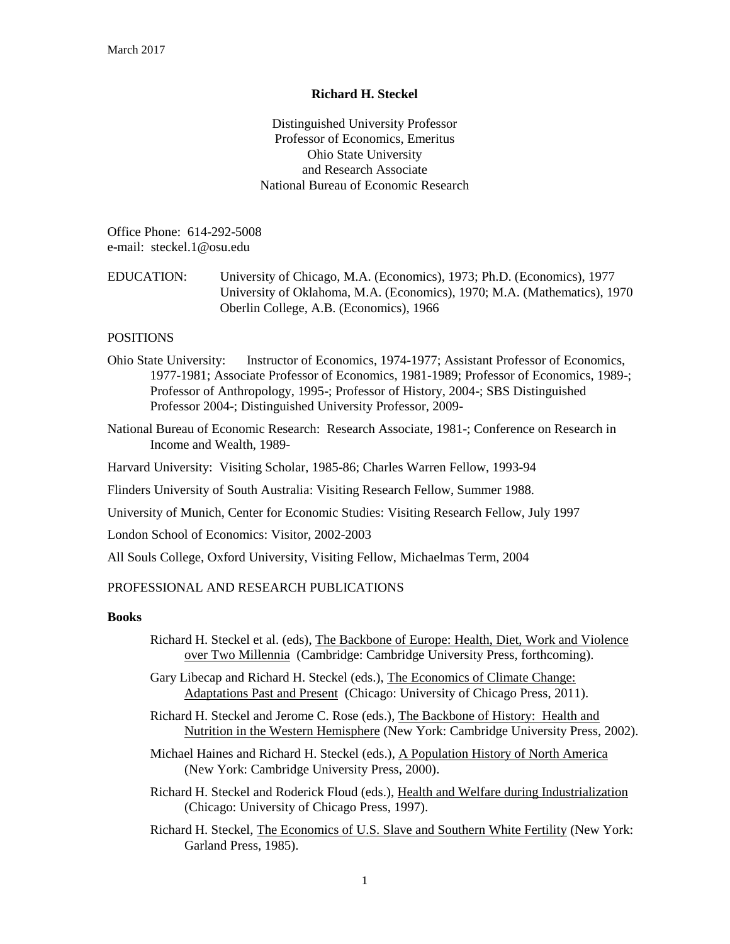## **Richard H. Steckel**

Distinguished University Professor Professor of Economics, Emeritus Ohio State University and Research Associate National Bureau of Economic Research

Office Phone: 614-292-5008 e-mail: steckel.1@osu.edu

# EDUCATION: University of Chicago, M.A. (Economics), 1973; Ph.D. (Economics), 1977 University of Oklahoma, M.A. (Economics), 1970; M.A. (Mathematics), 1970 Oberlin College, A.B. (Economics), 1966

# **POSITIONS**

- Ohio State University: Instructor of Economics, 1974-1977; Assistant Professor of Economics, 1977-1981; Associate Professor of Economics, 1981-1989; Professor of Economics, 1989-; Professor of Anthropology, 1995-; Professor of History, 2004-; SBS Distinguished Professor 2004-; Distinguished University Professor, 2009-
- National Bureau of Economic Research: Research Associate, 1981-; Conference on Research in Income and Wealth, 1989-
- Harvard University: Visiting Scholar, 1985-86; Charles Warren Fellow, 1993-94

Flinders University of South Australia: Visiting Research Fellow, Summer 1988.

University of Munich, Center for Economic Studies: Visiting Research Fellow, July 1997

London School of Economics: Visitor, 2002-2003

All Souls College, Oxford University, Visiting Fellow, Michaelmas Term, 2004

# PROFESSIONAL AND RESEARCH PUBLICATIONS

# **Books**

- Richard H. Steckel et al. (eds), The Backbone of Europe: Health, Diet, Work and Violence over Two Millennia (Cambridge: Cambridge University Press, forthcoming).
- Gary Libecap and Richard H. Steckel (eds.), The Economics of Climate Change: Adaptations Past and Present (Chicago: University of Chicago Press, 2011).
- Richard H. Steckel and Jerome C. Rose (eds.), The Backbone of History: Health and Nutrition in the Western Hemisphere (New York: Cambridge University Press, 2002).
- Michael Haines and Richard H. Steckel (eds.), A Population History of North America (New York: Cambridge University Press, 2000).
- Richard H. Steckel and Roderick Floud (eds.), Health and Welfare during Industrialization (Chicago: University of Chicago Press, 1997).
- Richard H. Steckel, The Economics of U.S. Slave and Southern White Fertility (New York: Garland Press, 1985).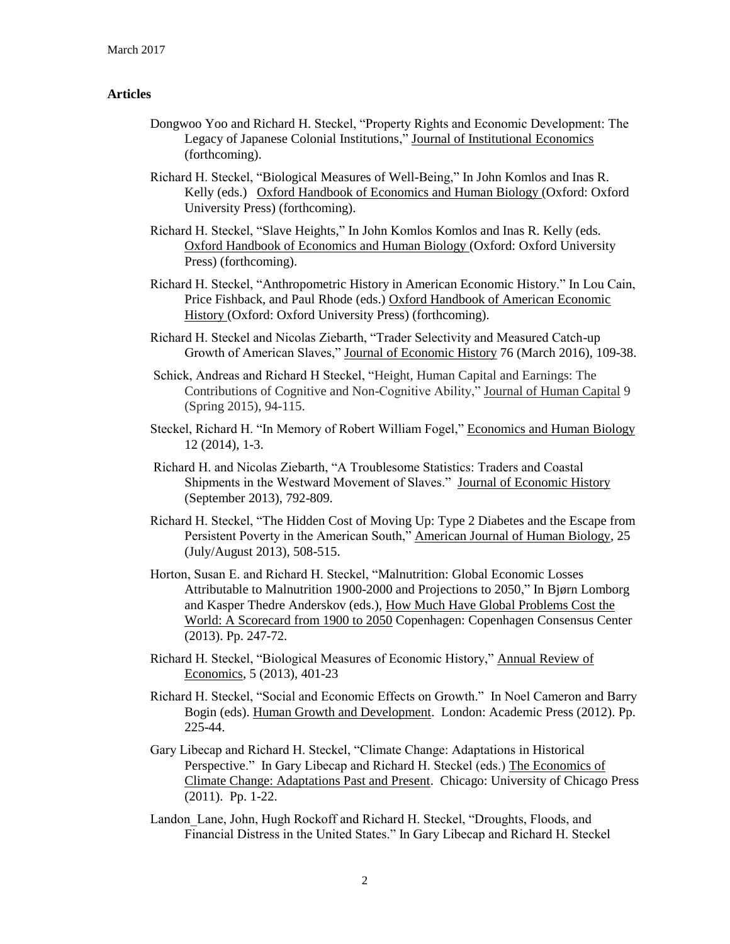## **Articles**

- Dongwoo Yoo and Richard H. Steckel, "Property Rights and Economic Development: The Legacy of Japanese Colonial Institutions," Journal of Institutional Economics (forthcoming).
- Richard H. Steckel, "Biological Measures of Well-Being," In John Komlos and Inas R. Kelly (eds.) Oxford Handbook of Economics and Human Biology (Oxford: Oxford University Press) (forthcoming).
- Richard H. Steckel, "Slave Heights," In John Komlos Komlos and Inas R. Kelly (eds. Oxford Handbook of Economics and Human Biology (Oxford: Oxford University Press) (forthcoming).
- Richard H. Steckel, "Anthropometric History in American Economic History." In Lou Cain, Price Fishback, and Paul Rhode (eds.) Oxford Handbook of American Economic History (Oxford: Oxford University Press) (forthcoming).
- Richard H. Steckel and Nicolas Ziebarth, "Trader Selectivity and Measured Catch-up Growth of American Slaves," Journal of Economic History 76 (March 2016), 109-38.
- Schick, Andreas and Richard H Steckel, "Height, Human Capital and Earnings: The Contributions of Cognitive and Non-Cognitive Ability," Journal of Human Capital 9 (Spring 2015), 94-115.
- Steckel, Richard H. "In Memory of Robert William Fogel," Economics and Human Biology 12 (2014), 1-3.
- Richard H. and Nicolas Ziebarth, "A Troublesome Statistics: Traders and Coastal Shipments in the Westward Movement of Slaves." Journal of Economic History (September 2013), 792-809.
- Richard H. Steckel, "The Hidden Cost of Moving Up: Type 2 Diabetes and the Escape from Persistent Poverty in the American South," American Journal of Human Biology, 25 (July/August 2013), 508-515.
- Horton, Susan E. and Richard H. Steckel, "Malnutrition: Global Economic Losses Attributable to Malnutrition 1900-2000 and Projections to 2050," In Bjørn Lomborg and Kasper Thedre Anderskov (eds.), How Much Have Global Problems Cost the World: A Scorecard from 1900 to 2050 Copenhagen: Copenhagen Consensus Center (2013). Pp. 247-72.
- Richard H. Steckel, "Biological Measures of Economic History," Annual Review of Economics, 5 (2013), 401-23
- Richard H. Steckel, "Social and Economic Effects on Growth." In Noel Cameron and Barry Bogin (eds). Human Growth and Development. London: Academic Press (2012). Pp. 225-44.
- Gary Libecap and Richard H. Steckel, "Climate Change: Adaptations in Historical Perspective." In Gary Libecap and Richard H. Steckel (eds.) The Economics of Climate Change: Adaptations Past and Present. Chicago: University of Chicago Press (2011). Pp. 1-22.
- Landon Lane, John, Hugh Rockoff and Richard H. Steckel, "Droughts, Floods, and Financial Distress in the United States." In Gary Libecap and Richard H. Steckel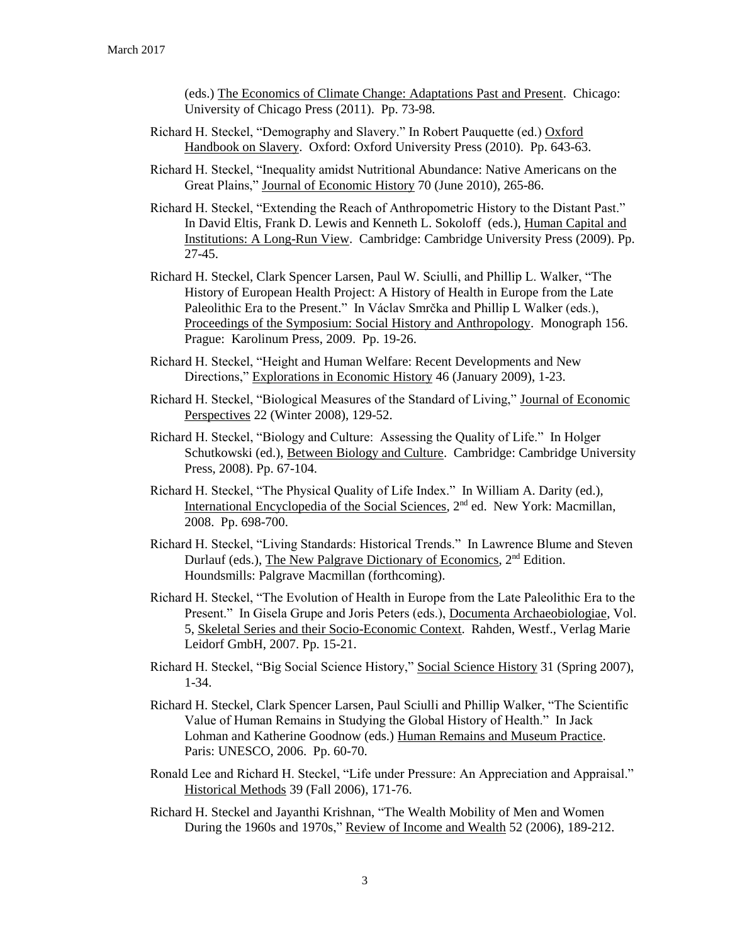(eds.) The Economics of Climate Change: Adaptations Past and Present. Chicago: University of Chicago Press (2011). Pp. 73-98.

- Richard H. Steckel, "Demography and Slavery." In Robert Pauquette (ed.) Oxford Handbook on Slavery. Oxford: Oxford University Press (2010). Pp. 643-63.
- Richard H. Steckel, "Inequality amidst Nutritional Abundance: Native Americans on the Great Plains," Journal of Economic History 70 (June 2010), 265-86.
- Richard H. Steckel, "Extending the Reach of Anthropometric History to the Distant Past." In David Eltis, Frank D. Lewis and Kenneth L. Sokoloff (eds.), Human Capital and Institutions: A Long-Run View. Cambridge: Cambridge University Press (2009). Pp. 27-45.
- Richard H. Steckel, Clark Spencer Larsen, Paul W. Sciulli, and Phillip L. Walker, "The History of European Health Project: A History of Health in Europe from the Late Paleolithic Era to the Present." In Václav Smrčka and Phillip L Walker (eds.), Proceedings of the Symposium: Social History and Anthropology. Monograph 156. Prague: Karolinum Press, 2009. Pp. 19-26.
- Richard H. Steckel, "Height and Human Welfare: Recent Developments and New Directions," Explorations in Economic History 46 (January 2009), 1-23.
- Richard H. Steckel, "Biological Measures of the Standard of Living," Journal of Economic Perspectives 22 (Winter 2008), 129-52.
- Richard H. Steckel, "Biology and Culture: Assessing the Quality of Life." In Holger Schutkowski (ed.), Between Biology and Culture. Cambridge: Cambridge University Press, 2008). Pp. 67-104.
- Richard H. Steckel, "The Physical Quality of Life Index." In William A. Darity (ed.), International Encyclopedia of the Social Sciences, 2nd ed. New York: Macmillan, 2008. Pp. 698-700.
- Richard H. Steckel, "Living Standards: Historical Trends." In Lawrence Blume and Steven Durlauf (eds.), The New Palgrave Dictionary of Economics, 2<sup>nd</sup> Edition. Houndsmills: Palgrave Macmillan (forthcoming).
- Richard H. Steckel, "The Evolution of Health in Europe from the Late Paleolithic Era to the Present." In Gisela Grupe and Joris Peters (eds.), Documenta Archaeobiologiae, Vol. 5, Skeletal Series and their Socio-Economic Context. Rahden, Westf., Verlag Marie Leidorf GmbH, 2007. Pp. 15-21.
- Richard H. Steckel, "Big Social Science History," Social Science History 31 (Spring 2007), 1-34.
- Richard H. Steckel, Clark Spencer Larsen, Paul Sciulli and Phillip Walker, "The Scientific Value of Human Remains in Studying the Global History of Health." In Jack Lohman and Katherine Goodnow (eds.) Human Remains and Museum Practice. Paris: UNESCO, 2006. Pp. 60-70.
- Ronald Lee and Richard H. Steckel, "Life under Pressure: An Appreciation and Appraisal." Historical Methods 39 (Fall 2006), 171-76.
- Richard H. Steckel and Jayanthi Krishnan, "The Wealth Mobility of Men and Women During the 1960s and 1970s," Review of Income and Wealth 52 (2006), 189-212.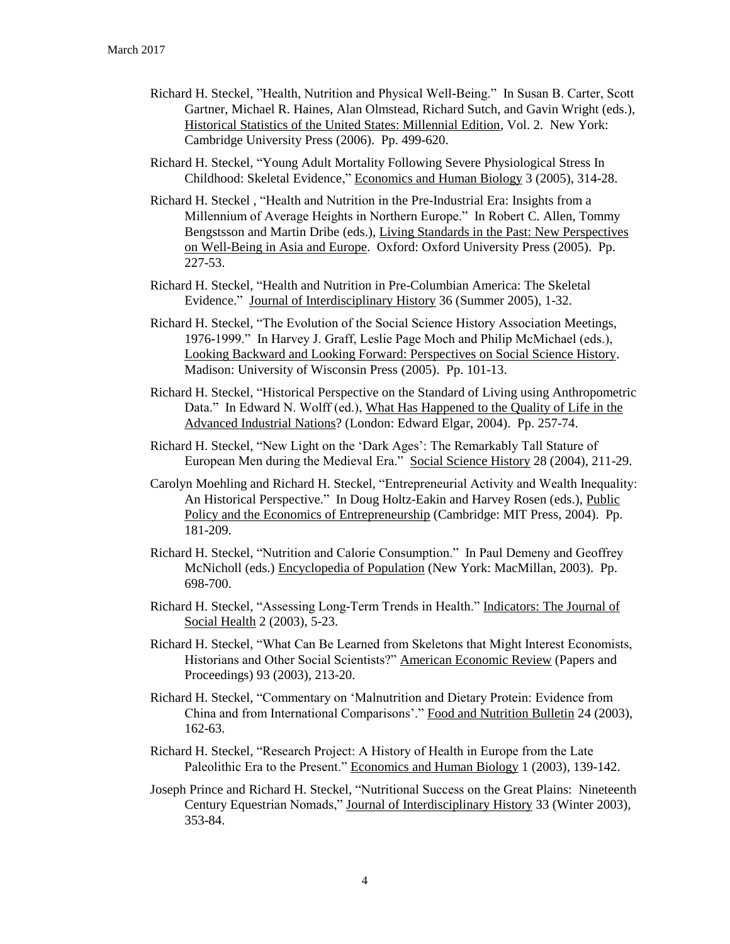- Richard H. Steckel, "Health, Nutrition and Physical Well-Being." In Susan B. Carter, Scott Gartner, Michael R. Haines, Alan Olmstead, Richard Sutch, and Gavin Wright (eds.), Historical Statistics of the United States: Millennial Edition, Vol. 2. New York: Cambridge University Press (2006). Pp. 499-620.
- Richard H. Steckel, "Young Adult Mortality Following Severe Physiological Stress In Childhood: Skeletal Evidence," Economics and Human Biology 3 (2005), 314-28.
- Richard H. Steckel , "Health and Nutrition in the Pre-Industrial Era: Insights from a Millennium of Average Heights in Northern Europe." In Robert C. Allen, Tommy Bengstsson and Martin Dribe (eds.), Living Standards in the Past: New Perspectives on Well-Being in Asia and Europe. Oxford: Oxford University Press (2005). Pp. 227-53.
- Richard H. Steckel, "Health and Nutrition in Pre-Columbian America: The Skeletal Evidence." Journal of Interdisciplinary History 36 (Summer 2005), 1-32.
- Richard H. Steckel, "The Evolution of the Social Science History Association Meetings, 1976-1999." In Harvey J. Graff, Leslie Page Moch and Philip McMichael (eds.), Looking Backward and Looking Forward: Perspectives on Social Science History. Madison: University of Wisconsin Press (2005). Pp. 101-13.
- Richard H. Steckel, "Historical Perspective on the Standard of Living using Anthropometric Data." In Edward N. Wolff (ed.), What Has Happened to the Quality of Life in the Advanced Industrial Nations? (London: Edward Elgar, 2004). Pp. 257-74.
- Richard H. Steckel, "New Light on the 'Dark Ages': The Remarkably Tall Stature of European Men during the Medieval Era." Social Science History 28 (2004), 211-29.
- Carolyn Moehling and Richard H. Steckel, "Entrepreneurial Activity and Wealth Inequality: An Historical Perspective." In Doug Holtz-Eakin and Harvey Rosen (eds.), Public Policy and the Economics of Entrepreneurship (Cambridge: MIT Press, 2004). Pp. 181-209.
- Richard H. Steckel, "Nutrition and Calorie Consumption." In Paul Demeny and Geoffrey McNicholl (eds.) Encyclopedia of Population (New York: MacMillan, 2003). Pp. 698-700.
- Richard H. Steckel, "Assessing Long-Term Trends in Health." Indicators: The Journal of Social Health 2 (2003), 5-23.
- Richard H. Steckel, "What Can Be Learned from Skeletons that Might Interest Economists, Historians and Other Social Scientists?" American Economic Review (Papers and Proceedings) 93 (2003), 213-20.
- Richard H. Steckel, "Commentary on 'Malnutrition and Dietary Protein: Evidence from China and from International Comparisons'." Food and Nutrition Bulletin 24 (2003), 162-63.
- Richard H. Steckel, "Research Project: A History of Health in Europe from the Late Paleolithic Era to the Present." Economics and Human Biology 1 (2003), 139-142.
- Joseph Prince and Richard H. Steckel, "Nutritional Success on the Great Plains: Nineteenth Century Equestrian Nomads," Journal of Interdisciplinary History 33 (Winter 2003), 353-84.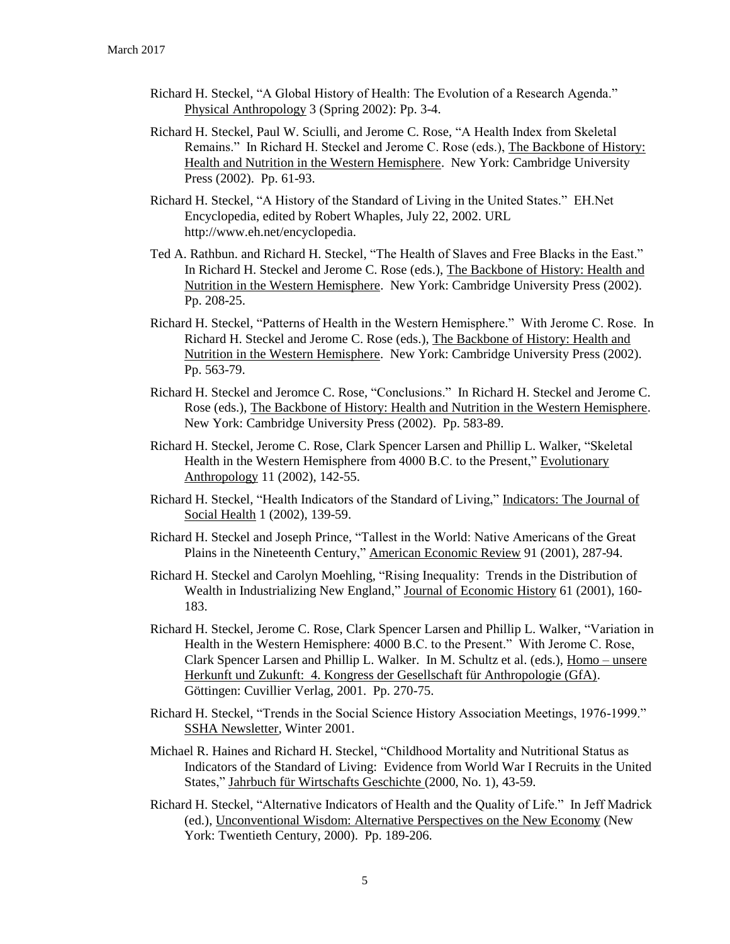- Richard H. Steckel, "A Global History of Health: The Evolution of a Research Agenda." Physical Anthropology 3 (Spring 2002): Pp. 3-4.
- Richard H. Steckel, Paul W. Sciulli, and Jerome C. Rose, "A Health Index from Skeletal Remains." In Richard H. Steckel and Jerome C. Rose (eds.), The Backbone of History: Health and Nutrition in the Western Hemisphere. New York: Cambridge University Press (2002). Pp. 61-93.
- Richard H. Steckel, "A History of the Standard of Living in the United States." EH.Net Encyclopedia, edited by Robert Whaples, July 22, 2002. URL http://www.eh.net/encyclopedia.
- Ted A. Rathbun. and Richard H. Steckel, "The Health of Slaves and Free Blacks in the East." In Richard H. Steckel and Jerome C. Rose (eds.), The Backbone of History: Health and Nutrition in the Western Hemisphere. New York: Cambridge University Press (2002). Pp. 208-25.
- Richard H. Steckel, "Patterns of Health in the Western Hemisphere." With Jerome C. Rose. In Richard H. Steckel and Jerome C. Rose (eds.), The Backbone of History: Health and Nutrition in the Western Hemisphere. New York: Cambridge University Press (2002). Pp. 563-79.
- Richard H. Steckel and Jeromce C. Rose, "Conclusions." In Richard H. Steckel and Jerome C. Rose (eds.), The Backbone of History: Health and Nutrition in the Western Hemisphere. New York: Cambridge University Press (2002). Pp. 583-89.
- Richard H. Steckel, Jerome C. Rose, Clark Spencer Larsen and Phillip L. Walker, "Skeletal Health in the Western Hemisphere from 4000 B.C. to the Present," Evolutionary Anthropology 11 (2002), 142-55.
- Richard H. Steckel, "Health Indicators of the Standard of Living," Indicators: The Journal of Social Health 1 (2002), 139-59.
- Richard H. Steckel and Joseph Prince, "Tallest in the World: Native Americans of the Great Plains in the Nineteenth Century," American Economic Review 91 (2001), 287-94.
- Richard H. Steckel and Carolyn Moehling, "Rising Inequality: Trends in the Distribution of Wealth in Industrializing New England," Journal of Economic History 61 (2001), 160-183.
- Richard H. Steckel, Jerome C. Rose, Clark Spencer Larsen and Phillip L. Walker, "Variation in Health in the Western Hemisphere: 4000 B.C. to the Present." With Jerome C. Rose, Clark Spencer Larsen and Phillip L. Walker. In M. Schultz et al. (eds.), Homo – unsere Herkunft und Zukunft: 4. Kongress der Gesellschaft für Anthropologie (GfA). Göttingen: Cuvillier Verlag, 2001. Pp. 270-75.
- Richard H. Steckel, "Trends in the Social Science History Association Meetings, 1976-1999." SSHA Newsletter, Winter 2001.
- Michael R. Haines and Richard H. Steckel, "Childhood Mortality and Nutritional Status as Indicators of the Standard of Living: Evidence from World War I Recruits in the United States," Jahrbuch für Wirtschafts Geschichte (2000, No. 1), 43-59.
- Richard H. Steckel, "Alternative Indicators of Health and the Quality of Life." In Jeff Madrick (ed.), Unconventional Wisdom: Alternative Perspectives on the New Economy (New York: Twentieth Century, 2000). Pp. 189-206.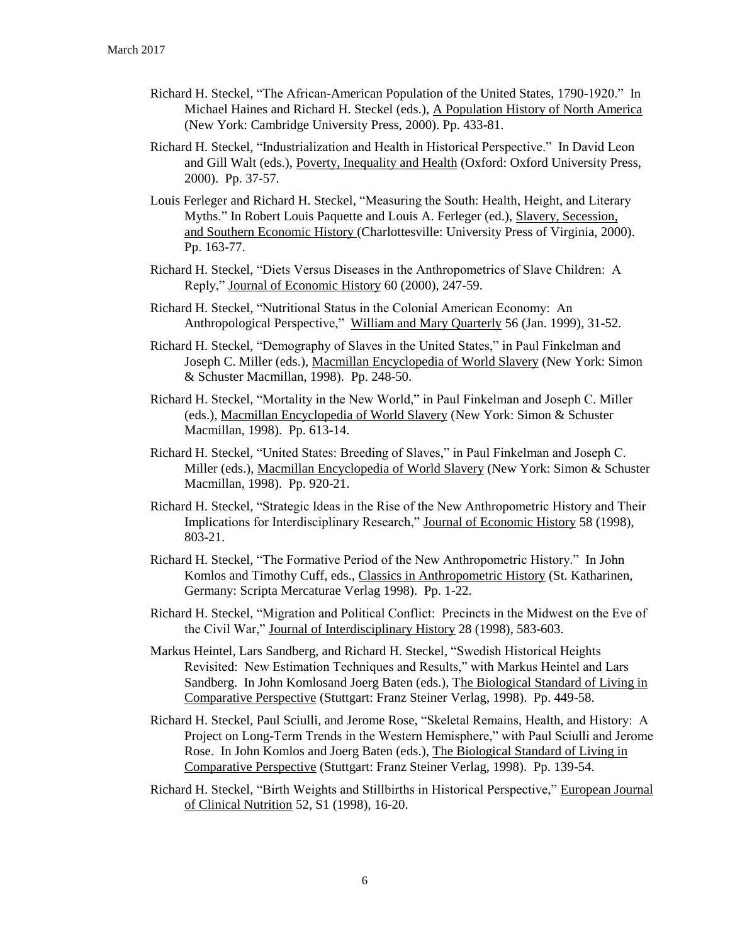- Richard H. Steckel, "The African-American Population of the United States, 1790-1920." In Michael Haines and Richard H. Steckel (eds.), A Population History of North America (New York: Cambridge University Press, 2000). Pp. 433-81.
- Richard H. Steckel, "Industrialization and Health in Historical Perspective." In David Leon and Gill Walt (eds.), Poverty, Inequality and Health (Oxford: Oxford University Press, 2000). Pp. 37-57.
- Louis Ferleger and Richard H. Steckel, "Measuring the South: Health, Height, and Literary Myths." In Robert Louis Paquette and Louis A. Ferleger (ed.), Slavery, Secession, and Southern Economic History (Charlottesville: University Press of Virginia, 2000). Pp. 163-77.
- Richard H. Steckel, "Diets Versus Diseases in the Anthropometrics of Slave Children: A Reply," Journal of Economic History 60 (2000), 247-59.
- Richard H. Steckel, "Nutritional Status in the Colonial American Economy: An Anthropological Perspective," William and Mary Quarterly 56 (Jan. 1999), 31-52.
- Richard H. Steckel, "Demography of Slaves in the United States," in Paul Finkelman and Joseph C. Miller (eds.), Macmillan Encyclopedia of World Slavery (New York: Simon & Schuster Macmillan, 1998). Pp. 248-50.
- Richard H. Steckel, "Mortality in the New World," in Paul Finkelman and Joseph C. Miller (eds.), Macmillan Encyclopedia of World Slavery (New York: Simon & Schuster Macmillan, 1998). Pp. 613-14.
- Richard H. Steckel, "United States: Breeding of Slaves," in Paul Finkelman and Joseph C. Miller (eds.), Macmillan Encyclopedia of World Slavery (New York: Simon & Schuster Macmillan, 1998). Pp. 920-21.
- Richard H. Steckel, "Strategic Ideas in the Rise of the New Anthropometric History and Their Implications for Interdisciplinary Research," Journal of Economic History 58 (1998), 803-21.
- Richard H. Steckel, "The Formative Period of the New Anthropometric History." In John Komlos and Timothy Cuff, eds., Classics in Anthropometric History (St. Katharinen, Germany: Scripta Mercaturae Verlag 1998). Pp. 1-22.
- Richard H. Steckel, "Migration and Political Conflict: Precincts in the Midwest on the Eve of the Civil War," Journal of Interdisciplinary History 28 (1998), 583-603.
- Markus Heintel, Lars Sandberg, and Richard H. Steckel, "Swedish Historical Heights Revisited: New Estimation Techniques and Results," with Markus Heintel and Lars Sandberg. In John Komlosand Joerg Baten (eds.), The Biological Standard of Living in Comparative Perspective (Stuttgart: Franz Steiner Verlag, 1998). Pp. 449-58.
- Richard H. Steckel, Paul Sciulli, and Jerome Rose, "Skeletal Remains, Health, and History: A Project on Long-Term Trends in the Western Hemisphere," with Paul Sciulli and Jerome Rose. In John Komlos and Joerg Baten (eds.), The Biological Standard of Living in Comparative Perspective (Stuttgart: Franz Steiner Verlag, 1998). Pp. 139-54.
- Richard H. Steckel, "Birth Weights and Stillbirths in Historical Perspective," European Journal of Clinical Nutrition 52, S1 (1998), 16-20.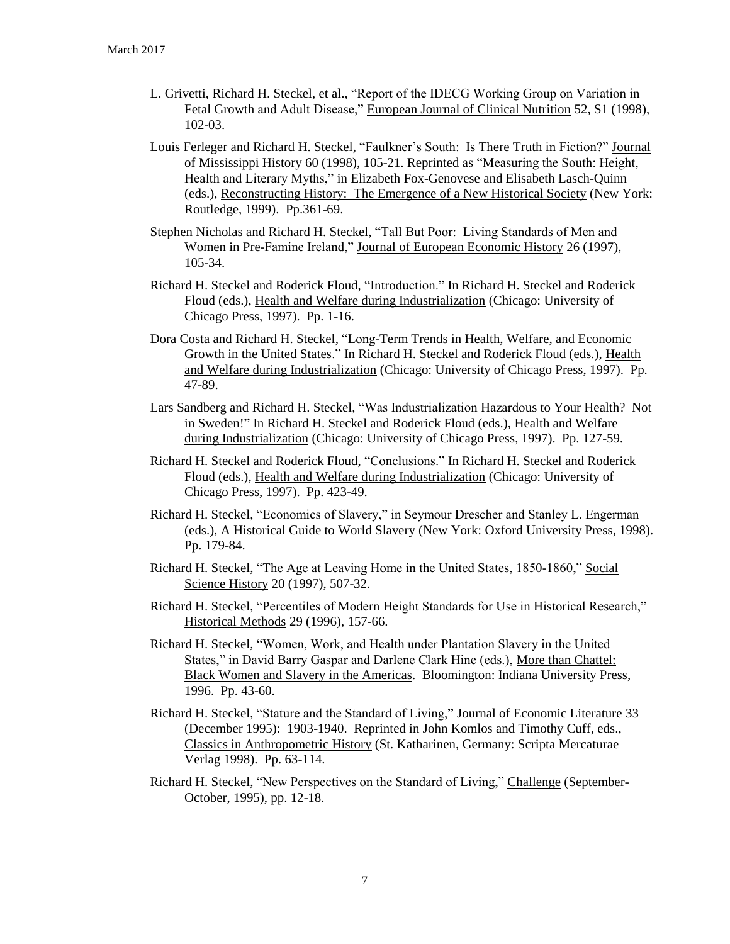- L. Grivetti, Richard H. Steckel, et al., "Report of the IDECG Working Group on Variation in Fetal Growth and Adult Disease," European Journal of Clinical Nutrition 52, S1 (1998), 102-03.
- Louis Ferleger and Richard H. Steckel, "Faulkner's South: Is There Truth in Fiction?" Journal of Mississippi History 60 (1998), 105-21. Reprinted as "Measuring the South: Height, Health and Literary Myths," in Elizabeth Fox-Genovese and Elisabeth Lasch-Quinn (eds.), Reconstructing History: The Emergence of a New Historical Society (New York: Routledge, 1999). Pp.361-69.
- Stephen Nicholas and Richard H. Steckel, "Tall But Poor: Living Standards of Men and Women in Pre-Famine Ireland," Journal of European Economic History 26 (1997), 105-34.
- Richard H. Steckel and Roderick Floud, "Introduction." In Richard H. Steckel and Roderick Floud (eds.), Health and Welfare during Industrialization (Chicago: University of Chicago Press, 1997). Pp. 1-16.
- Dora Costa and Richard H. Steckel, "Long-Term Trends in Health, Welfare, and Economic Growth in the United States." In Richard H. Steckel and Roderick Floud (eds.), Health and Welfare during Industrialization (Chicago: University of Chicago Press, 1997). Pp. 47-89.
- Lars Sandberg and Richard H. Steckel, "Was Industrialization Hazardous to Your Health? Not in Sweden!" In Richard H. Steckel and Roderick Floud (eds.), Health and Welfare during Industrialization (Chicago: University of Chicago Press, 1997). Pp. 127-59.
- Richard H. Steckel and Roderick Floud, "Conclusions." In Richard H. Steckel and Roderick Floud (eds.), Health and Welfare during Industrialization (Chicago: University of Chicago Press, 1997). Pp. 423-49.
- Richard H. Steckel, "Economics of Slavery," in Seymour Drescher and Stanley L. Engerman (eds.), A Historical Guide to World Slavery (New York: Oxford University Press, 1998). Pp. 179-84.
- Richard H. Steckel, "The Age at Leaving Home in the United States, 1850-1860," Social Science History 20 (1997), 507-32.
- Richard H. Steckel, "Percentiles of Modern Height Standards for Use in Historical Research," Historical Methods 29 (1996), 157-66.
- Richard H. Steckel, "Women, Work, and Health under Plantation Slavery in the United States," in David Barry Gaspar and Darlene Clark Hine (eds.), More than Chattel: Black Women and Slavery in the Americas. Bloomington: Indiana University Press, 1996. Pp. 43-60.
- Richard H. Steckel, "Stature and the Standard of Living," Journal of Economic Literature 33 (December 1995): 1903-1940. Reprinted in John Komlos and Timothy Cuff, eds., Classics in Anthropometric History (St. Katharinen, Germany: Scripta Mercaturae Verlag 1998). Pp. 63-114.
- Richard H. Steckel, "New Perspectives on the Standard of Living," Challenge (September-October, 1995), pp. 12-18.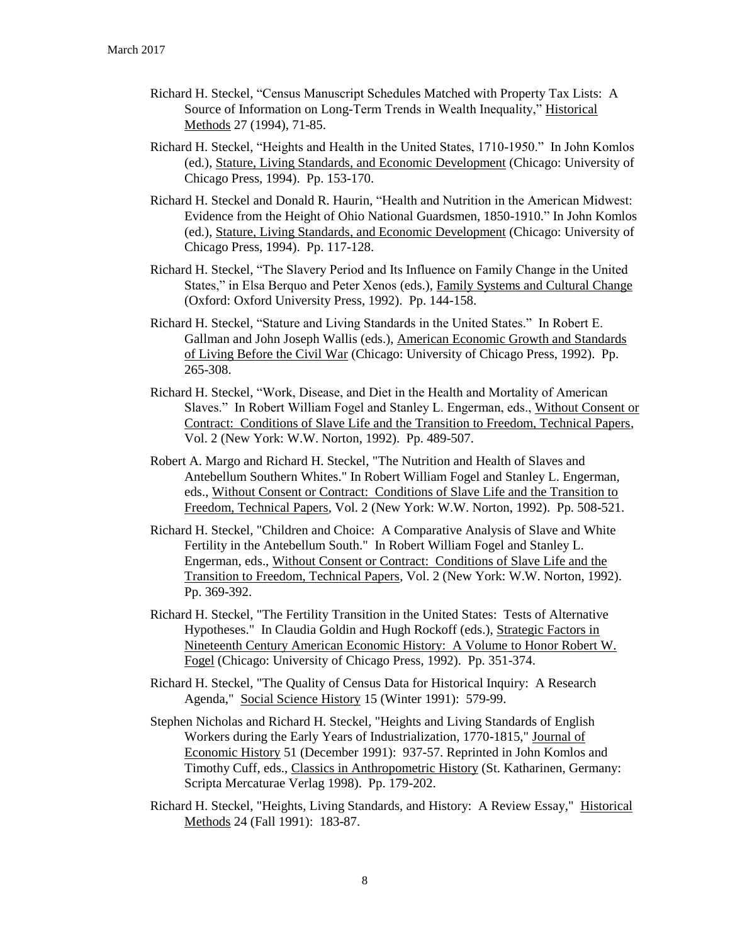- Richard H. Steckel, "Census Manuscript Schedules Matched with Property Tax Lists: A Source of Information on Long-Term Trends in Wealth Inequality," Historical Methods 27 (1994), 71-85.
- Richard H. Steckel, "Heights and Health in the United States, 1710-1950." In John Komlos (ed.), Stature, Living Standards, and Economic Development (Chicago: University of Chicago Press, 1994). Pp. 153-170.
- Richard H. Steckel and Donald R. Haurin, "Health and Nutrition in the American Midwest: Evidence from the Height of Ohio National Guardsmen, 1850-1910." In John Komlos (ed.), Stature, Living Standards, and Economic Development (Chicago: University of Chicago Press, 1994). Pp. 117-128.
- Richard H. Steckel, "The Slavery Period and Its Influence on Family Change in the United States," in Elsa Berquo and Peter Xenos (eds.), Family Systems and Cultural Change (Oxford: Oxford University Press, 1992). Pp. 144-158.
- Richard H. Steckel, "Stature and Living Standards in the United States." In Robert E. Gallman and John Joseph Wallis (eds.), American Economic Growth and Standards of Living Before the Civil War (Chicago: University of Chicago Press, 1992). Pp. 265-308.
- Richard H. Steckel, "Work, Disease, and Diet in the Health and Mortality of American Slaves." In Robert William Fogel and Stanley L. Engerman, eds., Without Consent or Contract: Conditions of Slave Life and the Transition to Freedom, Technical Papers, Vol. 2 (New York: W.W. Norton, 1992). Pp. 489-507.
- Robert A. Margo and Richard H. Steckel, "The Nutrition and Health of Slaves and Antebellum Southern Whites." In Robert William Fogel and Stanley L. Engerman, eds., Without Consent or Contract: Conditions of Slave Life and the Transition to Freedom, Technical Papers, Vol. 2 (New York: W.W. Norton, 1992). Pp. 508-521.
- Richard H. Steckel, "Children and Choice: A Comparative Analysis of Slave and White Fertility in the Antebellum South." In Robert William Fogel and Stanley L. Engerman, eds., Without Consent or Contract: Conditions of Slave Life and the Transition to Freedom, Technical Papers, Vol. 2 (New York: W.W. Norton, 1992). Pp. 369-392.
- Richard H. Steckel, "The Fertility Transition in the United States: Tests of Alternative Hypotheses." In Claudia Goldin and Hugh Rockoff (eds.), Strategic Factors in Nineteenth Century American Economic History: A Volume to Honor Robert W. Fogel (Chicago: University of Chicago Press, 1992). Pp. 351-374.
- Richard H. Steckel, "The Quality of Census Data for Historical Inquiry: A Research Agenda," Social Science History 15 (Winter 1991): 579-99.
- Stephen Nicholas and Richard H. Steckel, "Heights and Living Standards of English Workers during the Early Years of Industrialization, 1770-1815," Journal of Economic History 51 (December 1991): 937-57. Reprinted in John Komlos and Timothy Cuff, eds., Classics in Anthropometric History (St. Katharinen, Germany: Scripta Mercaturae Verlag 1998). Pp. 179-202.
- Richard H. Steckel, "Heights, Living Standards, and History: A Review Essay," Historical Methods 24 (Fall 1991): 183-87.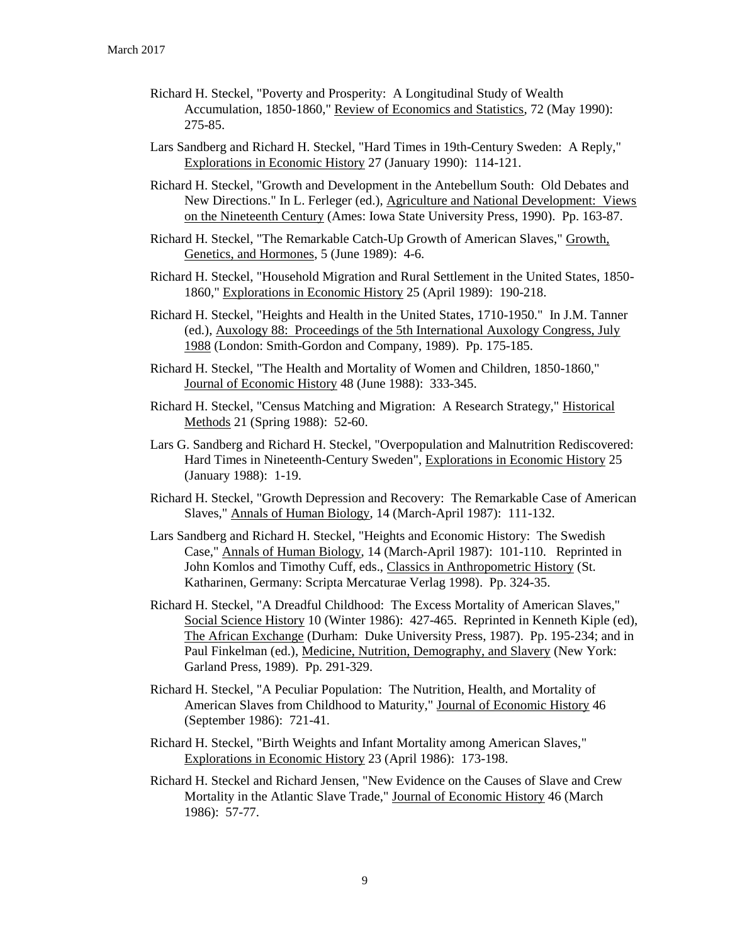- Richard H. Steckel, "Poverty and Prosperity: A Longitudinal Study of Wealth Accumulation, 1850-1860," Review of Economics and Statistics, 72 (May 1990): 275-85.
- Lars Sandberg and Richard H. Steckel, "Hard Times in 19th-Century Sweden: A Reply," Explorations in Economic History 27 (January 1990): 114-121.
- Richard H. Steckel, "Growth and Development in the Antebellum South: Old Debates and New Directions." In L. Ferleger (ed.), Agriculture and National Development: Views on the Nineteenth Century (Ames: Iowa State University Press, 1990). Pp. 163-87.
- Richard H. Steckel, "The Remarkable Catch-Up Growth of American Slaves," Growth, Genetics, and Hormones, 5 (June 1989): 4-6.
- Richard H. Steckel, "Household Migration and Rural Settlement in the United States, 1850- 1860," Explorations in Economic History 25 (April 1989): 190-218.
- Richard H. Steckel, "Heights and Health in the United States, 1710-1950." In J.M. Tanner (ed.), Auxology 88: Proceedings of the 5th International Auxology Congress, July 1988 (London: Smith-Gordon and Company, 1989). Pp. 175-185.
- Richard H. Steckel, "The Health and Mortality of Women and Children, 1850-1860," Journal of Economic History 48 (June 1988): 333-345.
- Richard H. Steckel, "Census Matching and Migration: A Research Strategy," Historical Methods 21 (Spring 1988): 52-60.
- Lars G. Sandberg and Richard H. Steckel, "Overpopulation and Malnutrition Rediscovered: Hard Times in Nineteenth-Century Sweden", Explorations in Economic History 25 (January 1988): 1-19.
- Richard H. Steckel, "Growth Depression and Recovery: The Remarkable Case of American Slaves," Annals of Human Biology, 14 (March-April 1987): 111-132.
- Lars Sandberg and Richard H. Steckel, "Heights and Economic History: The Swedish Case," Annals of Human Biology, 14 (March-April 1987): 101-110. Reprinted in John Komlos and Timothy Cuff, eds., Classics in Anthropometric History (St. Katharinen, Germany: Scripta Mercaturae Verlag 1998). Pp. 324-35.
- Richard H. Steckel, "A Dreadful Childhood: The Excess Mortality of American Slaves," Social Science History 10 (Winter 1986): 427-465. Reprinted in Kenneth Kiple (ed), The African Exchange (Durham: Duke University Press, 1987). Pp. 195-234; and in Paul Finkelman (ed.), Medicine, Nutrition, Demography, and Slavery (New York: Garland Press, 1989). Pp. 291-329.
- Richard H. Steckel, "A Peculiar Population: The Nutrition, Health, and Mortality of American Slaves from Childhood to Maturity," Journal of Economic History 46 (September 1986): 721-41.
- Richard H. Steckel, "Birth Weights and Infant Mortality among American Slaves," Explorations in Economic History 23 (April 1986): 173-198.
- Richard H. Steckel and Richard Jensen, "New Evidence on the Causes of Slave and Crew Mortality in the Atlantic Slave Trade," Journal of Economic History 46 (March 1986): 57-77.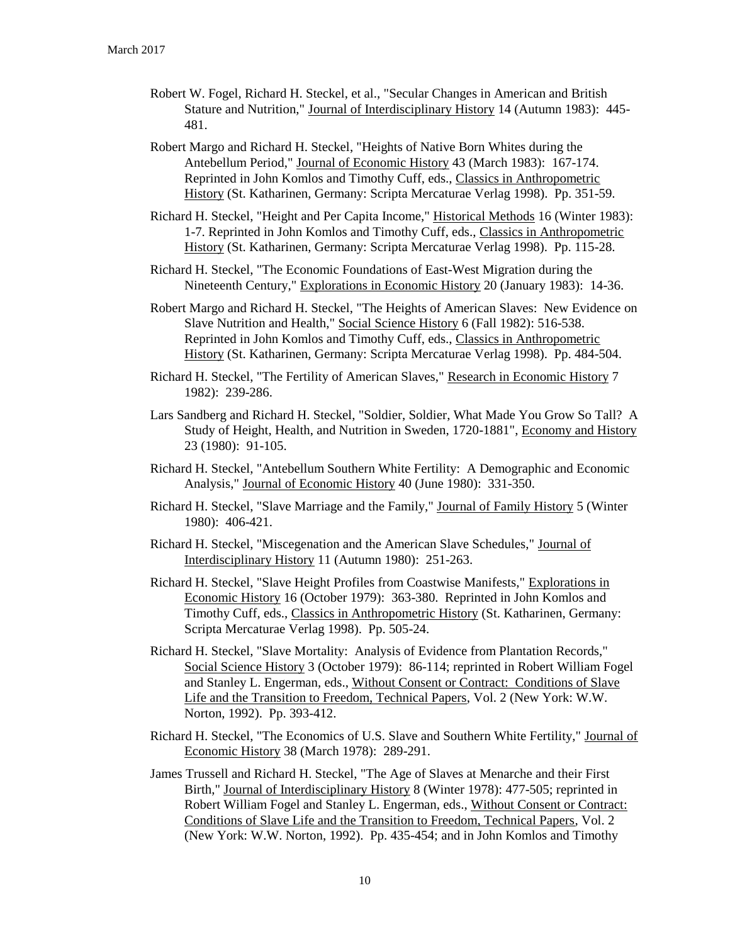- Robert W. Fogel, Richard H. Steckel, et al., "Secular Changes in American and British Stature and Nutrition," Journal of Interdisciplinary History 14 (Autumn 1983): 445- 481.
- Robert Margo and Richard H. Steckel, "Heights of Native Born Whites during the Antebellum Period," Journal of Economic History 43 (March 1983): 167-174. Reprinted in John Komlos and Timothy Cuff, eds., Classics in Anthropometric History (St. Katharinen, Germany: Scripta Mercaturae Verlag 1998). Pp. 351-59.
- Richard H. Steckel, "Height and Per Capita Income," Historical Methods 16 (Winter 1983): 1-7. Reprinted in John Komlos and Timothy Cuff, eds., Classics in Anthropometric History (St. Katharinen, Germany: Scripta Mercaturae Verlag 1998). Pp. 115-28.
- Richard H. Steckel, "The Economic Foundations of East-West Migration during the Nineteenth Century," Explorations in Economic History 20 (January 1983): 14-36.
- Robert Margo and Richard H. Steckel, "The Heights of American Slaves: New Evidence on Slave Nutrition and Health," Social Science History 6 (Fall 1982): 516-538. Reprinted in John Komlos and Timothy Cuff, eds., Classics in Anthropometric History (St. Katharinen, Germany: Scripta Mercaturae Verlag 1998). Pp. 484-504.
- Richard H. Steckel, "The Fertility of American Slaves," Research in Economic History 7 1982): 239-286.
- Lars Sandberg and Richard H. Steckel, "Soldier, Soldier, What Made You Grow So Tall? A Study of Height, Health, and Nutrition in Sweden, 1720-1881", Economy and History 23 (1980): 91-105.
- Richard H. Steckel, "Antebellum Southern White Fertility: A Demographic and Economic Analysis," Journal of Economic History 40 (June 1980): 331-350.
- Richard H. Steckel, "Slave Marriage and the Family," Journal of Family History 5 (Winter 1980): 406-421.
- Richard H. Steckel, "Miscegenation and the American Slave Schedules," Journal of Interdisciplinary History 11 (Autumn 1980): 251-263.
- Richard H. Steckel, "Slave Height Profiles from Coastwise Manifests," Explorations in Economic History 16 (October 1979): 363-380. Reprinted in John Komlos and Timothy Cuff, eds., Classics in Anthropometric History (St. Katharinen, Germany: Scripta Mercaturae Verlag 1998). Pp. 505-24.
- Richard H. Steckel, "Slave Mortality: Analysis of Evidence from Plantation Records," Social Science History 3 (October 1979): 86-114; reprinted in Robert William Fogel and Stanley L. Engerman, eds., Without Consent or Contract: Conditions of Slave Life and the Transition to Freedom, Technical Papers, Vol. 2 (New York: W.W. Norton, 1992). Pp. 393-412.
- Richard H. Steckel, "The Economics of U.S. Slave and Southern White Fertility," Journal of Economic History 38 (March 1978): 289-291.
- James Trussell and Richard H. Steckel, "The Age of Slaves at Menarche and their First Birth," Journal of Interdisciplinary History 8 (Winter 1978): 477-505; reprinted in Robert William Fogel and Stanley L. Engerman, eds., Without Consent or Contract: Conditions of Slave Life and the Transition to Freedom, Technical Papers, Vol. 2 (New York: W.W. Norton, 1992). Pp. 435-454; and in John Komlos and Timothy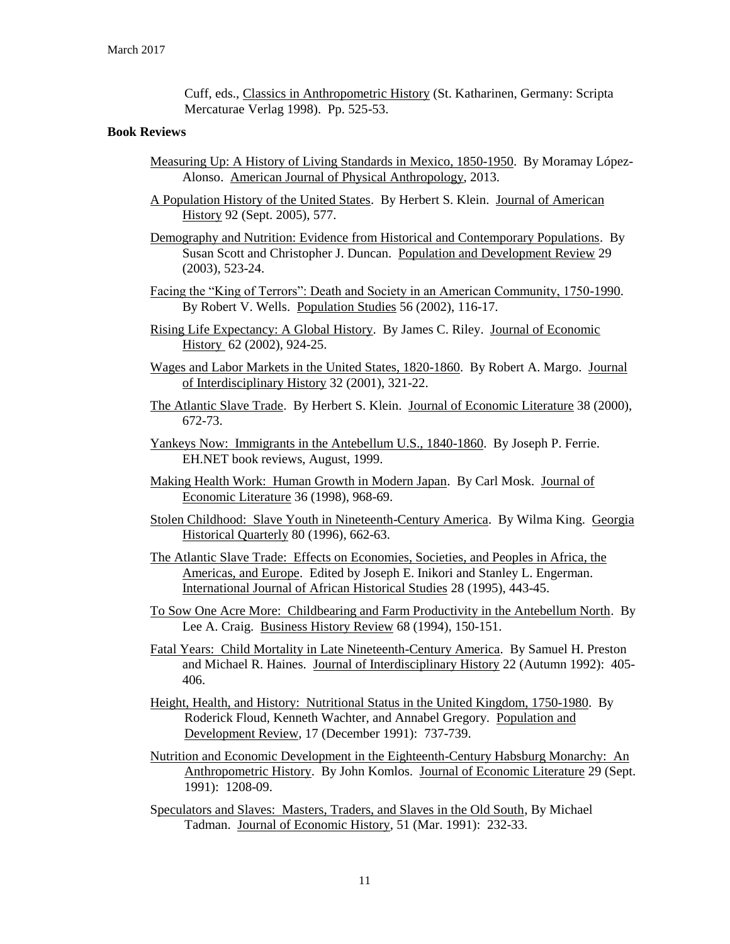Cuff, eds., Classics in Anthropometric History (St. Katharinen, Germany: Scripta Mercaturae Verlag 1998). Pp. 525-53.

#### **Book Reviews**

- Measuring Up: A History of Living Standards in Mexico, 1850-1950. By Moramay López-Alonso. American Journal of Physical Anthropology, 2013.
- A Population History of the United States. By Herbert S. Klein. Journal of American History 92 (Sept. 2005), 577.
- Demography and Nutrition: Evidence from Historical and Contemporary Populations. By Susan Scott and Christopher J. Duncan. Population and Development Review 29 (2003), 523-24.
- Facing the "King of Terrors": Death and Society in an American Community, 1750-1990. By Robert V. Wells. Population Studies 56 (2002), 116-17.
- Rising Life Expectancy: A Global History. By James C. Riley. Journal of Economic History 62 (2002), 924-25.
- Wages and Labor Markets in the United States, 1820-1860. By Robert A. Margo. Journal of Interdisciplinary History 32 (2001), 321-22.
- The Atlantic Slave Trade. By Herbert S. Klein. Journal of Economic Literature 38 (2000), 672-73.
- Yankeys Now: Immigrants in the Antebellum U.S., 1840-1860. By Joseph P. Ferrie. EH.NET book reviews, August, 1999.
- Making Health Work: Human Growth in Modern Japan. By Carl Mosk. Journal of Economic Literature 36 (1998), 968-69.
- Stolen Childhood: Slave Youth in Nineteenth-Century America. By Wilma King. Georgia Historical Quarterly 80 (1996), 662-63.
- The Atlantic Slave Trade: Effects on Economies, Societies, and Peoples in Africa, the Americas, and Europe. Edited by Joseph E. Inikori and Stanley L. Engerman. International Journal of African Historical Studies 28 (1995), 443-45.
- To Sow One Acre More: Childbearing and Farm Productivity in the Antebellum North. By Lee A. Craig. Business History Review 68 (1994), 150-151.
- Fatal Years: Child Mortality in Late Nineteenth-Century America. By Samuel H. Preston and Michael R. Haines. Journal of Interdisciplinary History 22 (Autumn 1992): 405- 406.
- Height, Health, and History: Nutritional Status in the United Kingdom, 1750-1980. By Roderick Floud, Kenneth Wachter, and Annabel Gregory. Population and Development Review, 17 (December 1991): 737-739.
- Nutrition and Economic Development in the Eighteenth-Century Habsburg Monarchy: An Anthropometric History. By John Komlos. Journal of Economic Literature 29 (Sept. 1991): 1208-09.
- Speculators and Slaves: Masters, Traders, and Slaves in the Old South, By Michael Tadman. Journal of Economic History, 51 (Mar. 1991): 232-33.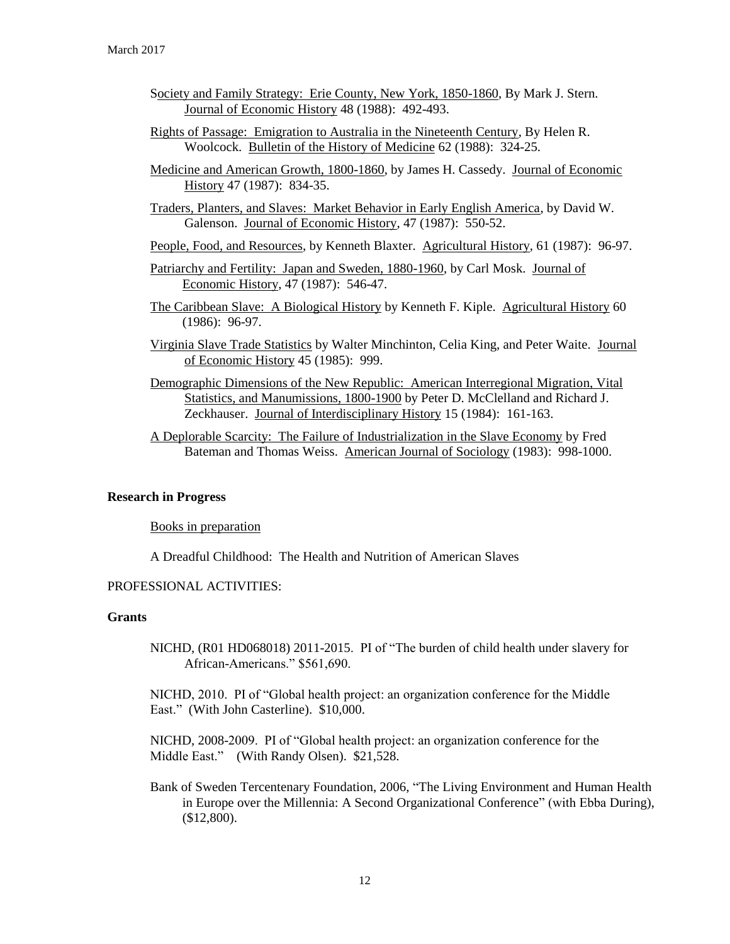- Society and Family Strategy: Erie County, New York, 1850-1860, By Mark J. Stern. Journal of Economic History 48 (1988): 492-493.
- Rights of Passage: Emigration to Australia in the Nineteenth Century, By Helen R. Woolcock. Bulletin of the History of Medicine 62 (1988): 324-25.
- Medicine and American Growth, 1800-1860, by James H. Cassedy. Journal of Economic History 47 (1987): 834-35.

Traders, Planters, and Slaves: Market Behavior in Early English America, by David W. Galenson. Journal of Economic History, 47 (1987): 550-52.

- People, Food, and Resources, by Kenneth Blaxter. Agricultural History, 61 (1987): 96-97.
- Patriarchy and Fertility: Japan and Sweden, 1880-1960, by Carl Mosk. Journal of Economic History, 47 (1987): 546-47.
- The Caribbean Slave: A Biological History by Kenneth F. Kiple. Agricultural History 60 (1986): 96-97.
- Virginia Slave Trade Statistics by Walter Minchinton, Celia King, and Peter Waite. Journal of Economic History 45 (1985): 999.
- Demographic Dimensions of the New Republic: American Interregional Migration, Vital Statistics, and Manumissions, 1800-1900 by Peter D. McClelland and Richard J. Zeckhauser. Journal of Interdisciplinary History 15 (1984): 161-163.
- A Deplorable Scarcity: The Failure of Industrialization in the Slave Economy by Fred Bateman and Thomas Weiss. American Journal of Sociology (1983): 998-1000.

#### **Research in Progress**

Books in preparation

A Dreadful Childhood: The Health and Nutrition of American Slaves

## PROFESSIONAL ACTIVITIES:

# **Grants**

NICHD, (R01 HD068018) 2011-2015. PI of "The burden of child health under slavery for African-Americans." \$561,690.

NICHD, 2010. PI of "Global health project: an organization conference for the Middle East." (With John Casterline). \$10,000.

NICHD, 2008-2009. PI of "Global health project: an organization conference for the Middle East." (With Randy Olsen). \$21,528.

Bank of Sweden Tercentenary Foundation, 2006, "The Living Environment and Human Health in Europe over the Millennia: A Second Organizational Conference" (with Ebba During), (\$12,800).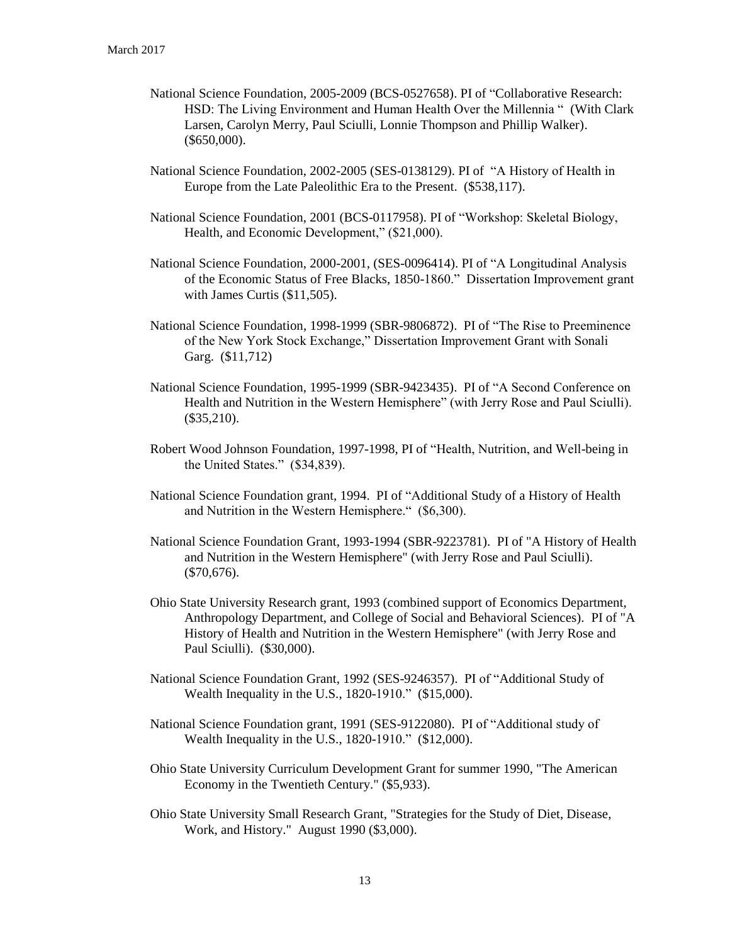- National Science Foundation, 2005-2009 (BCS-0527658). PI of "Collaborative Research: HSD: The Living Environment and Human Health Over the Millennia " (With Clark Larsen, Carolyn Merry, Paul Sciulli, Lonnie Thompson and Phillip Walker). (\$650,000).
- National Science Foundation, 2002-2005 (SES-0138129). PI of "A History of Health in Europe from the Late Paleolithic Era to the Present. (\$538,117).
- National Science Foundation, 2001 (BCS-0117958). PI of "Workshop: Skeletal Biology, Health, and Economic Development," (\$21,000).
- National Science Foundation, 2000-2001, (SES-0096414). PI of "A Longitudinal Analysis of the Economic Status of Free Blacks, 1850-1860." Dissertation Improvement grant with James Curtis (\$11,505).
- National Science Foundation, 1998-1999 (SBR-9806872). PI of "The Rise to Preeminence of the New York Stock Exchange," Dissertation Improvement Grant with Sonali Garg. (\$11,712)
- National Science Foundation, 1995-1999 (SBR-9423435). PI of "A Second Conference on Health and Nutrition in the Western Hemisphere" (with Jerry Rose and Paul Sciulli). (\$35,210).
- Robert Wood Johnson Foundation, 1997-1998, PI of "Health, Nutrition, and Well-being in the United States." (\$34,839).
- National Science Foundation grant, 1994. PI of "Additional Study of a History of Health and Nutrition in the Western Hemisphere." (\$6,300).
- National Science Foundation Grant, 1993-1994 (SBR-9223781). PI of "A History of Health and Nutrition in the Western Hemisphere" (with Jerry Rose and Paul Sciulli). (\$70,676).
- Ohio State University Research grant, 1993 (combined support of Economics Department, Anthropology Department, and College of Social and Behavioral Sciences). PI of "A History of Health and Nutrition in the Western Hemisphere" (with Jerry Rose and Paul Sciulli). (\$30,000).
- National Science Foundation Grant, 1992 (SES-9246357). PI of "Additional Study of Wealth Inequality in the U.S., 1820-1910." (\$15,000).
- National Science Foundation grant, 1991 (SES-9122080). PI of "Additional study of Wealth Inequality in the U.S., 1820-1910." (\$12,000).
- Ohio State University Curriculum Development Grant for summer 1990, "The American Economy in the Twentieth Century." (\$5,933).
- Ohio State University Small Research Grant, "Strategies for the Study of Diet, Disease, Work, and History." August 1990 (\$3,000).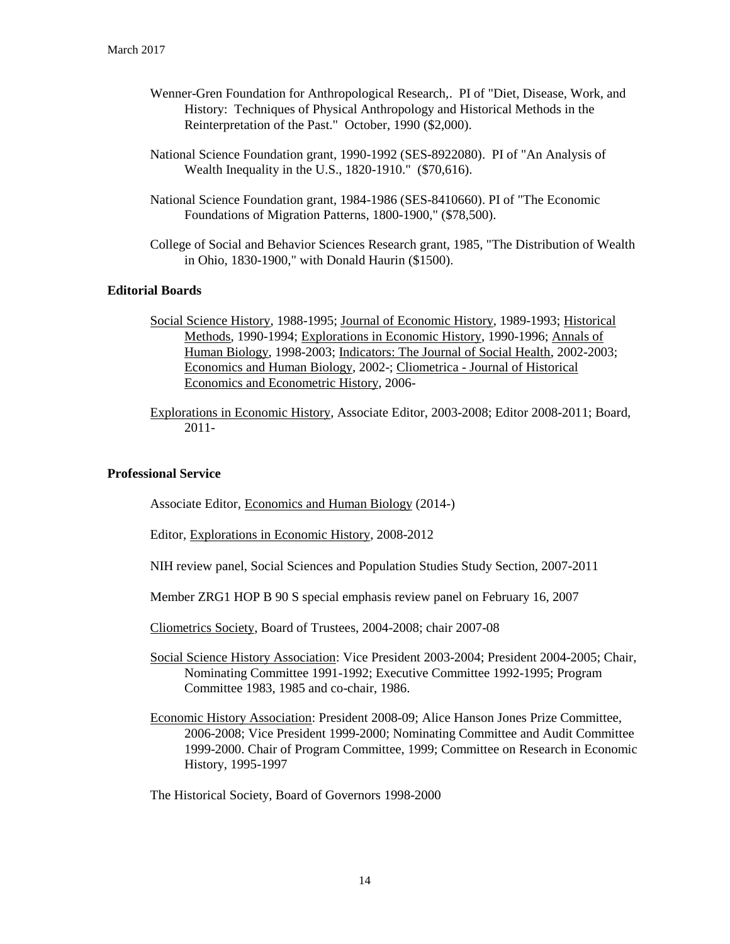- Wenner-Gren Foundation for Anthropological Research,. PI of "Diet, Disease, Work, and History: Techniques of Physical Anthropology and Historical Methods in the Reinterpretation of the Past." October, 1990 (\$2,000).
- National Science Foundation grant, 1990-1992 (SES-8922080). PI of "An Analysis of Wealth Inequality in the U.S., 1820-1910." (\$70,616).
- National Science Foundation grant, 1984-1986 (SES-8410660). PI of "The Economic Foundations of Migration Patterns, 1800-1900," (\$78,500).
- College of Social and Behavior Sciences Research grant, 1985, "The Distribution of Wealth in Ohio, 1830-1900," with Donald Haurin (\$1500).

# **Editorial Boards**

- Social Science History, 1988-1995; Journal of Economic History, 1989-1993; Historical Methods, 1990-1994; Explorations in Economic History, 1990-1996; Annals of Human Biology, 1998-2003; Indicators: The Journal of Social Health, 2002-2003; Economics and Human Biology, 2002-; Cliometrica - Journal of Historical Economics and Econometric History, 2006-
- Explorations in Economic History, Associate Editor, 2003-2008; Editor 2008-2011; Board, 2011-

## **Professional Service**

Associate Editor, Economics and Human Biology (2014-)

Editor, Explorations in Economic History, 2008-2012

NIH review panel, Social Sciences and Population Studies Study Section, 2007-2011

Member ZRG1 HOP B 90 S special emphasis review panel on February 16, 2007

Cliometrics Society, Board of Trustees, 2004-2008; chair 2007-08

- Social Science History Association: Vice President 2003-2004; President 2004-2005; Chair, Nominating Committee 1991-1992; Executive Committee 1992-1995; Program Committee 1983, 1985 and co-chair, 1986.
- Economic History Association: President 2008-09; Alice Hanson Jones Prize Committee, 2006-2008; Vice President 1999-2000; Nominating Committee and Audit Committee 1999-2000. Chair of Program Committee, 1999; Committee on Research in Economic History, 1995-1997

The Historical Society, Board of Governors 1998-2000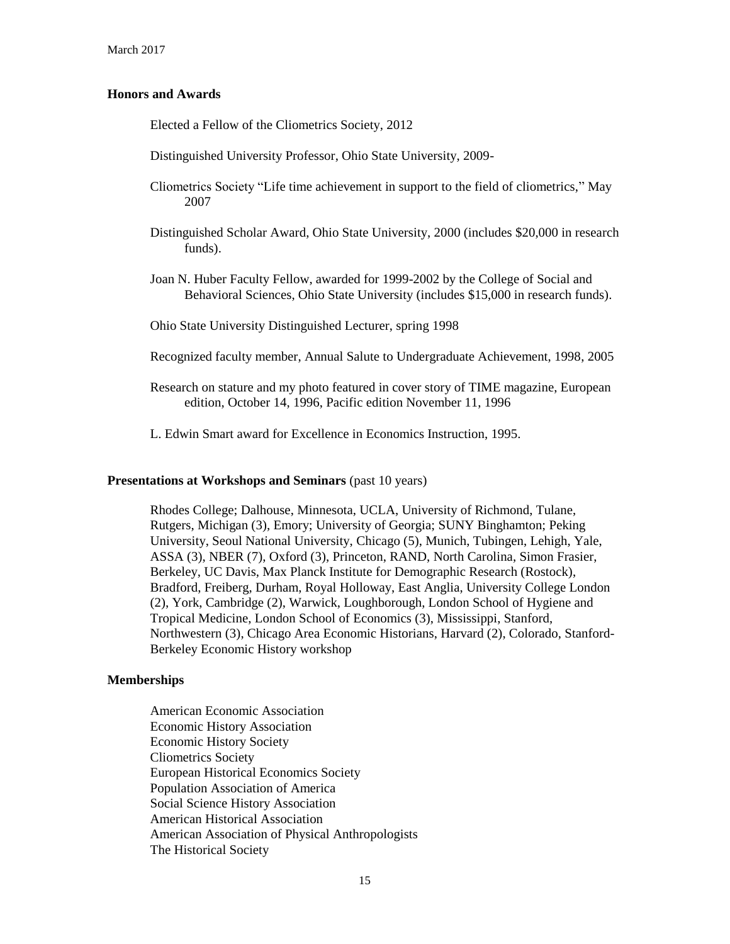## **Honors and Awards**

Elected a Fellow of the Cliometrics Society, 2012

Distinguished University Professor, Ohio State University, 2009-

- Cliometrics Society "Life time achievement in support to the field of cliometrics," May 2007
- Distinguished Scholar Award, Ohio State University, 2000 (includes \$20,000 in research funds).
- Joan N. Huber Faculty Fellow, awarded for 1999-2002 by the College of Social and Behavioral Sciences, Ohio State University (includes \$15,000 in research funds).

Ohio State University Distinguished Lecturer, spring 1998

- Recognized faculty member, Annual Salute to Undergraduate Achievement, 1998, 2005
- Research on stature and my photo featured in cover story of TIME magazine, European edition, October 14, 1996, Pacific edition November 11, 1996
- L. Edwin Smart award for Excellence in Economics Instruction, 1995.

### **Presentations at Workshops and Seminars** (past 10 years)

Rhodes College; Dalhouse, Minnesota, UCLA, University of Richmond, Tulane, Rutgers, Michigan (3), Emory; University of Georgia; SUNY Binghamton; Peking University, Seoul National University, Chicago (5), Munich, Tubingen, Lehigh, Yale, ASSA (3), NBER (7), Oxford (3), Princeton, RAND, North Carolina, Simon Frasier, Berkeley, UC Davis, Max Planck Institute for Demographic Research (Rostock), Bradford, Freiberg, Durham, Royal Holloway, East Anglia, University College London (2), York, Cambridge (2), Warwick, Loughborough, London School of Hygiene and Tropical Medicine, London School of Economics (3), Mississippi, Stanford, Northwestern (3), Chicago Area Economic Historians, Harvard (2), Colorado, Stanford-Berkeley Economic History workshop

#### **Memberships**

American Economic Association Economic History Association Economic History Society Cliometrics Society European Historical Economics Society Population Association of America Social Science History Association American Historical Association American Association of Physical Anthropologists The Historical Society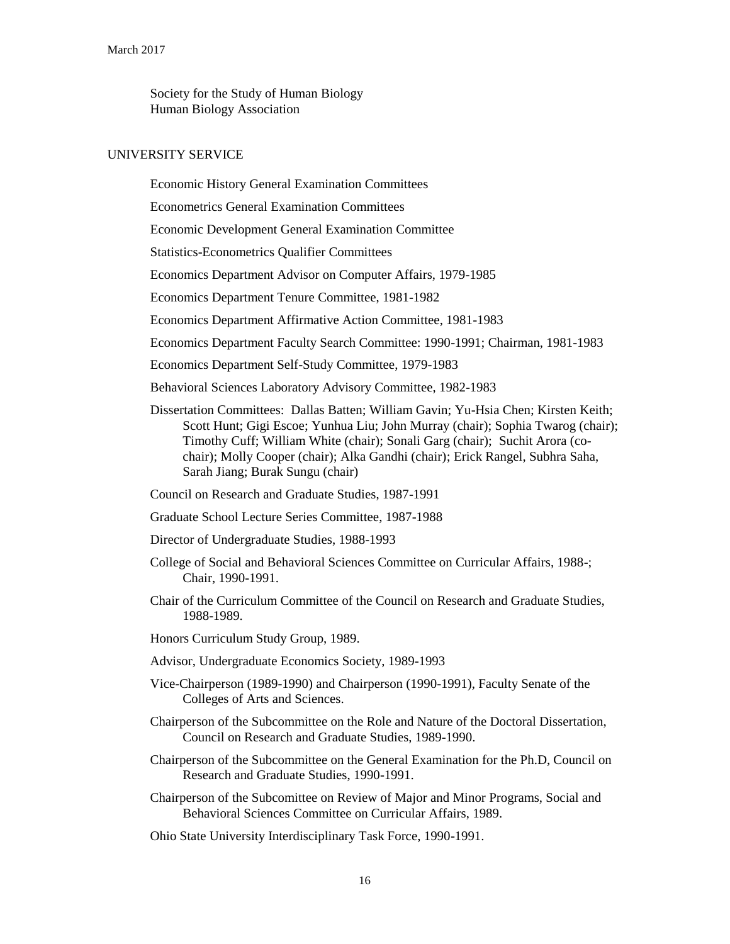Society for the Study of Human Biology Human Biology Association

#### UNIVERSITY SERVICE

Economic History General Examination Committees

Econometrics General Examination Committees

Economic Development General Examination Committee

Statistics-Econometrics Qualifier Committees

Economics Department Advisor on Computer Affairs, 1979-1985

Economics Department Tenure Committee, 1981-1982

Economics Department Affirmative Action Committee, 1981-1983

Economics Department Faculty Search Committee: 1990-1991; Chairman, 1981-1983

Economics Department Self-Study Committee, 1979-1983

Behavioral Sciences Laboratory Advisory Committee, 1982-1983

- Dissertation Committees: Dallas Batten; William Gavin; Yu-Hsia Chen; Kirsten Keith; Scott Hunt; Gigi Escoe; Yunhua Liu; John Murray (chair); Sophia Twarog (chair); Timothy Cuff; William White (chair); Sonali Garg (chair); Suchit Arora (cochair); Molly Cooper (chair); Alka Gandhi (chair); Erick Rangel, Subhra Saha, Sarah Jiang; Burak Sungu (chair)
- Council on Research and Graduate Studies, 1987-1991
- Graduate School Lecture Series Committee, 1987-1988
- Director of Undergraduate Studies, 1988-1993
- College of Social and Behavioral Sciences Committee on Curricular Affairs, 1988-; Chair, 1990-1991.

Chair of the Curriculum Committee of the Council on Research and Graduate Studies, 1988-1989.

Honors Curriculum Study Group, 1989.

- Advisor, Undergraduate Economics Society, 1989-1993
- Vice-Chairperson (1989-1990) and Chairperson (1990-1991), Faculty Senate of the Colleges of Arts and Sciences.
- Chairperson of the Subcommittee on the Role and Nature of the Doctoral Dissertation, Council on Research and Graduate Studies, 1989-1990.
- Chairperson of the Subcommittee on the General Examination for the Ph.D, Council on Research and Graduate Studies, 1990-1991.
- Chairperson of the Subcomittee on Review of Major and Minor Programs, Social and Behavioral Sciences Committee on Curricular Affairs, 1989.
- Ohio State University Interdisciplinary Task Force, 1990-1991.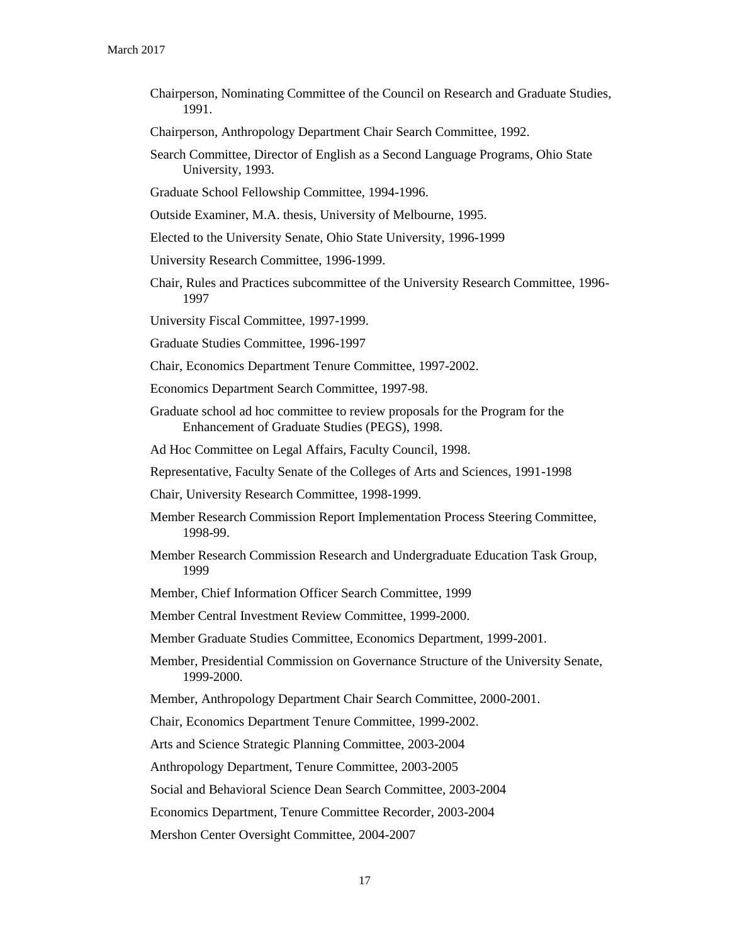Chairperson, Nominating Committee of the Council on Research and Graduate Studies, 1991.

Chairperson, Anthropology Department Chair Search Committee, 1992.

- Search Committee, Director of English as a Second Language Programs, Ohio State University, 1993.
- Graduate School Fellowship Committee, 1994-1996.

Outside Examiner, M.A. thesis, University of Melbourne, 1995.

- Elected to the University Senate, Ohio State University, 1996-1999
- University Research Committee, 1996-1999.
- Chair, Rules and Practices subcommittee of the University Research Committee, 1996- 1997

University Fiscal Committee, 1997-1999.

Graduate Studies Committee, 1996-1997

Chair, Economics Department Tenure Committee, 1997-2002.

Economics Department Search Committee, 1997-98.

Graduate school ad hoc committee to review proposals for the Program for the Enhancement of Graduate Studies (PEGS), 1998.

Ad Hoc Committee on Legal Affairs, Faculty Council, 1998.

Representative, Faculty Senate of the Colleges of Arts and Sciences, 1991-1998

Chair, University Research Committee, 1998-1999.

- Member Research Commission Report Implementation Process Steering Committee, 1998-99.
- Member Research Commission Research and Undergraduate Education Task Group, 1999

Member, Chief Information Officer Search Committee, 1999

Member Central Investment Review Committee, 1999-2000.

Member Graduate Studies Committee, Economics Department, 1999-2001.

- Member, Presidential Commission on Governance Structure of the University Senate, 1999-2000.
- Member, Anthropology Department Chair Search Committee, 2000-2001.

Chair, Economics Department Tenure Committee, 1999-2002.

Arts and Science Strategic Planning Committee, 2003-2004

Anthropology Department, Tenure Committee, 2003-2005

Social and Behavioral Science Dean Search Committee, 2003-2004

Economics Department, Tenure Committee Recorder, 2003-2004

Mershon Center Oversight Committee, 2004-2007